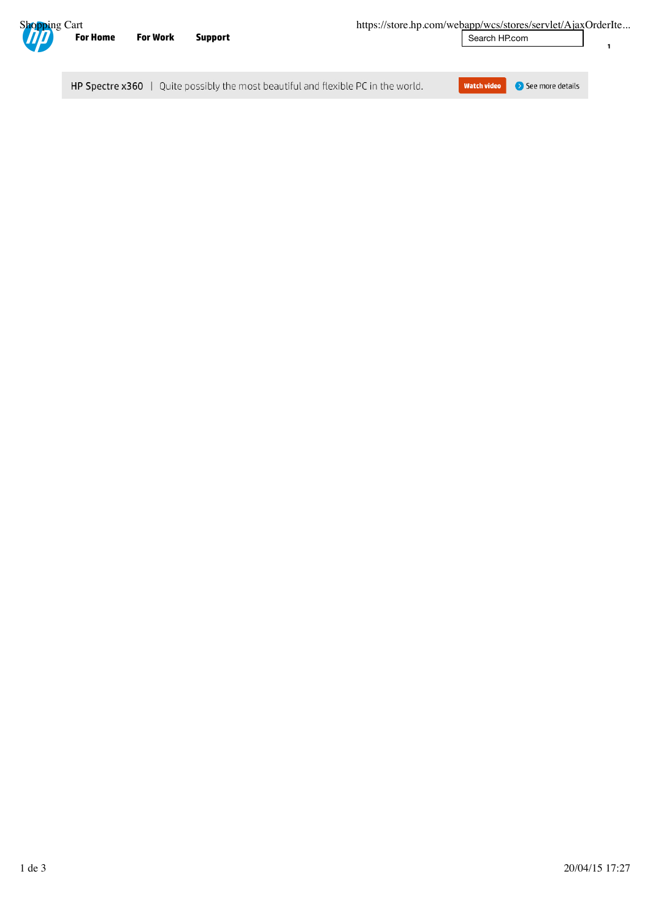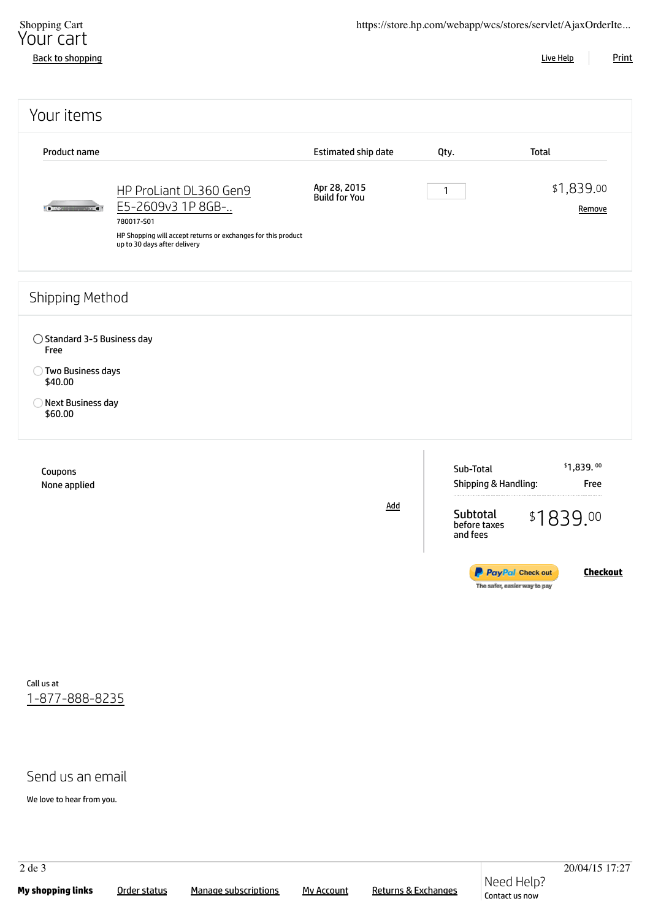| Shopping Cart<br>Your cart<br><b>Back to shopping</b>                                                            |                                                                                                                                                            |                               |                                      | https://store.hp.com/webapp/wcs/stores/servlet/AjaxOrderIte<br><b>Print</b><br><b>Live Help</b> |
|------------------------------------------------------------------------------------------------------------------|------------------------------------------------------------------------------------------------------------------------------------------------------------|-------------------------------|--------------------------------------|-------------------------------------------------------------------------------------------------|
| Your items                                                                                                       |                                                                                                                                                            |                               |                                      |                                                                                                 |
| Product name                                                                                                     |                                                                                                                                                            | Estimated ship date           | Qty.                                 | <b>Total</b>                                                                                    |
|                                                                                                                  | HP ProLiant DL360 Gen9<br>E5-2609v3 1P 8GB-<br>780017-S01<br>HP Shopping will accept returns or exchanges for this product<br>up to 30 days after delivery | Apr 28, 2015<br>Build for You | $\mathbf{1}$                         | \$1,839.00<br>Remove                                                                            |
| Shipping Method                                                                                                  |                                                                                                                                                            |                               |                                      |                                                                                                 |
| $\bigcirc$ Standard 3-5 Business day<br>Free<br>◯ Two Business days<br>\$40.00<br>O Next Business day<br>\$60.00 |                                                                                                                                                            |                               |                                      |                                                                                                 |
| Coupons<br>None applied                                                                                          |                                                                                                                                                            |                               | Sub-Total<br>Shipping & Handling:    | \$1,839.00<br>Free                                                                              |
|                                                                                                                  |                                                                                                                                                            | <b>Add</b>                    | Subtotal<br>before taxes<br>and fees | \$1839.00                                                                                       |
|                                                                                                                  |                                                                                                                                                            |                               |                                      | <b>Checkout</b><br><b>P</b> PayPal Check out<br>The safer, easier way to pay                    |

Call us at 1-877-888-8235

## Send us an email

We love to hear from you.